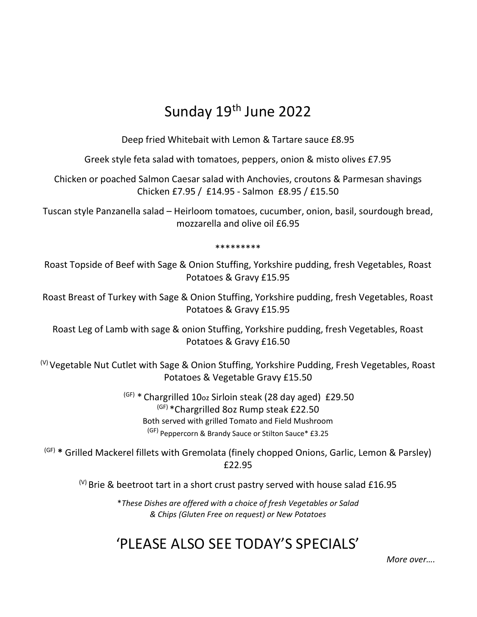## Sunday 19th June 2022

Deep fried Whitebait with Lemon & Tartare sauce £8.95

Greek style feta salad with tomatoes, peppers, onion & misto olives £7.95

Chicken or poached Salmon Caesar salad with Anchovies, croutons & Parmesan shavings Chicken £7.95 / £14.95 - Salmon £8.95 / £15.50

Tuscan style Panzanella salad – Heirloom tomatoes, cucumber, onion, basil, sourdough bread, mozzarella and olive oil £6.95

\*\*\*\*\*\*\*\*\*

Roast Topside of Beef with Sage & Onion Stuffing, Yorkshire pudding, fresh Vegetables, Roast Potatoes & Gravy £15.95

Roast Breast of Turkey with Sage & Onion Stuffing, Yorkshire pudding, fresh Vegetables, Roast Potatoes & Gravy £15.95

Roast Leg of Lamb with sage & onion Stuffing, Yorkshire pudding, fresh Vegetables, Roast Potatoes & Gravy £16.50

 $^{(V)}$ Vegetable Nut Cutlet with Sage & Onion Stuffing, Yorkshire Pudding, Fresh Vegetables, Roast Potatoes & Vegetable Gravy £15.50

> (GF) \* Chargrilled 10oz Sirloin steak (28 day aged) £29.50 (GF) \* Chargrilled 8oz Rump steak £22.50 Both served with grilled Tomato and Field Mushroom (GF) Peppercorn & Brandy Sauce or Stilton Sauce\* £3.25

 $(GF)$  \* Grilled Mackerel fillets with Gremolata (finely chopped Onions, Garlic, Lemon & Parsley) £22.95

 $^{(V)}$  Brie & beetroot tart in a short crust pastry served with house salad £16.95

\*These Dishes are offered with a choice of fresh Vegetables or Salad & Chips (Gluten Free on request) or New Potatoes

## 'PLEASE ALSO SEE TODAY'S SPECIALS' More over....